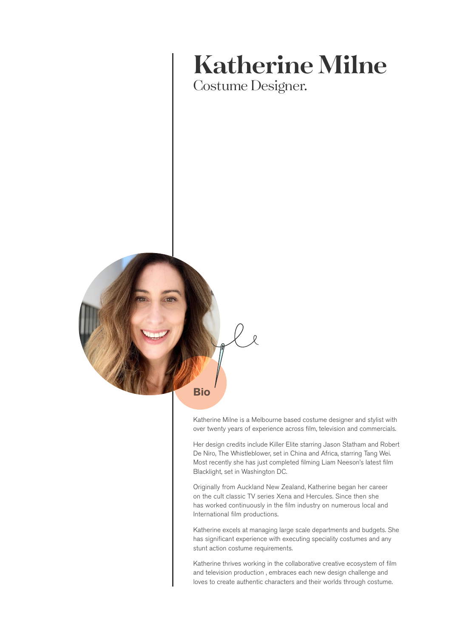# **Katherine Milne**

Costume Designer.



Katherine Milne is a Melbourne based costume designer and stylist with over twenty years of experience across film, television and commercials.

Her design credits include Killer Elite starring Jason Statham and Robert De Niro, The Whistleblower, set in China and Africa, starring Tang Wei. Most recently she has just completed filming Liam Neeson's latest film Blacklight, set in Washington DC.

Originally from Auckland New Zealand, Katherine began her career on the cult classic TV series Xena and Hercules. Since then she has worked continuously in the film industry on numerous local and International film productions.

Katherine excels at managing large scale departments and budgets. She has significant experience with executing speciality costumes and any stunt action costume requirements.

Katherine thrives working in the collaborative creative ecosystem of film and television production , embraces each new design challenge and loves to create authentic characters and their worlds through costume.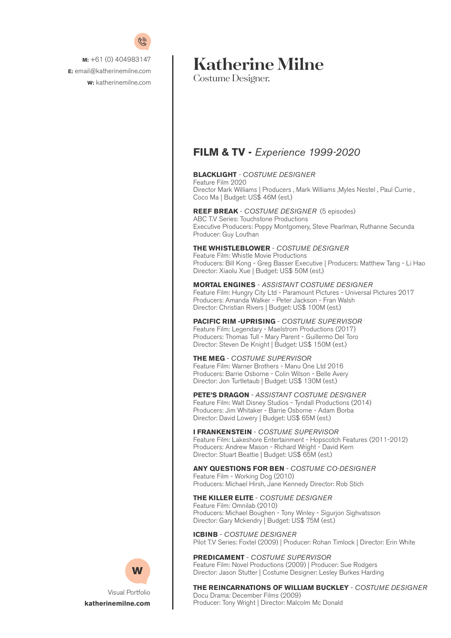

# **Katherine Milne**

Costume Designer.

# **FILM & TV -** *Experience 1999-2020*

#### **BLACKLIGHT** *- COSTUME DESIGNER*

Feature Film 2020 Director Mark Williams | Producers , Mark Williams ,Myles Nestel , Paul Currie , Coco Ma | Budget: US\$ 46M (est.)

#### **REEF BREAK** - *COSTUME DESIGNER* (5 episodes)

ABC T.V Series: Touchstone Productions Executive Producers: Poppy Montgomery, Steve Pearlman, Ruthanne Secunda Producer: Guy Louthan

#### **THE WHISTLEBLOWER** - *COSTUME DESIGNER*

Feature Film: Whistle Movie Productions Producers: Bill Kong - Greg Basser Executive | Producers: Matthew Tang - Li Hao Director: Xiaolu Xue | Budget: US\$ 50M (est.)

#### **MORTAL ENGINES** - *ASSISTANT COSTUME DESIGNER*

Feature Film: Hungry City Ltd - Paramount Pictures - Universal Pictures 2017 Producers: Amanda Walker - Peter Jackson - Fran Walsh Director: Christian Rivers | Budget: US\$ 100M (est.)

#### **PACIFIC RIM -UPRISING** - *COSTUME SUPERVISOR*

Feature Film: Legendary - Maelstrom Productions (2017) Producers: Thomas Tull - Mary Parent - Guillermo Del Toro Director: Steven De Knight | Budget: US\$ 150M (est.)

#### **THE MEG** - *COSTUME SUPERVISOR*

Feature Film: Warner Brothers - Manu One Ltd 2016 Producers: Barrie Osborne - Colin Wilson - Belle Avery Director: Jon Turtletaub | Budget: US\$ 130M (est.)

#### **PETE'S DRAGON** - *ASSISTANT COSTUME DESIGNER*

Feature Film: Walt Disney Studios - Tyndall Productions (2014) Producers: Jim Whitaker - Barrie Osborne - Adam Borba Director: David Lowery | Budget: US\$ 65M (est.)

#### **I FRANKENSTEIN** - *COSTUME SUPERVISOR*

Feature Film: Lakeshore Entertainment - Hopscotch Features (2011-2012) Producers: Andrew Mason - Richard Wright - David Kern Director: Stuart Beattie | Budget: US\$ 65M (est.)

#### **ANY QUESTIONS FOR BEN** - *COSTUME CO-DESIGNER* Feature Film - Working Dog (2010) Producers: Michael Hirsh, Jane Kennedy Director: Rob Stich

#### **THE KILLER ELITE** - *COSTUME DESIGNER*

Feature Film: Omnilab (2010) Producers: Michael Boughen - Tony Winley - Sigurjon Sighvatsson Director: Gary Mckendry | Budget: US\$ 75M (est.)

**ICBINB** - *COSTUME DESIGNER* Pilot T.V Series: Foxtel (2009) | Producer: Rohan Timlock | Director: Erin White

**PREDICAMENT** - *COSTUME SUPERVISOR* Feature Film: Novel Productions (2009) | Producer: Sue Rodgers Director: Jason Stutter | Costume Designer: Lesley Burkes Harding

**THE REINCARNATIONS OF WILLIAM BUCKLEY** - *COSTUME DESIGNER* Docu Drama: December Films (2009) Producer: Tony Wright | Director: Malcolm Mc Donald



[Visual Portfolio](https://katherinemilne.com) **[katherinemilne.com](https://katherinemilne.com)**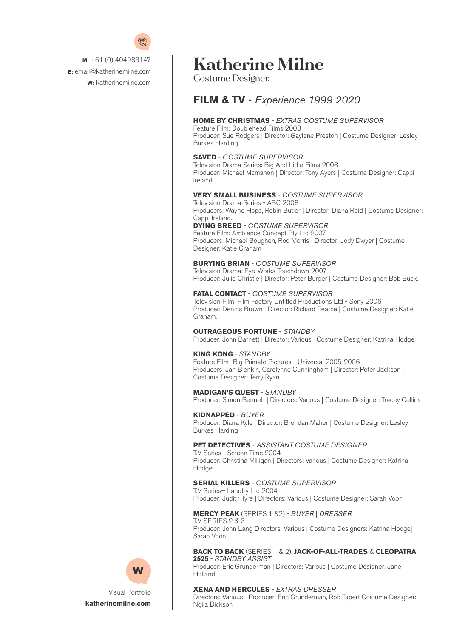

# **Katherine Milne**

Costume Designer.

### **FILM & TV -** *Experience 1999-2020*

#### **HOME BY CHRISTMAS** - *EXTRAS COSTUME SUPERVISOR*

Feature Film: Doublehead Films 2008 Producer: Sue Rodgers | Director: Gaylene Preston | Costume Designer: Lesley Burkes Harding.

#### **SAVED** - *COSTUME SUPERVISOR*

Television Drama Series: Big And Little Films 2008 Producer: Michael Mcmahon | Director: Tony Ayers | Costume Designer: Cappi Ireland.

#### **VERY SMALL BUSINESS** - *COSTUME SUPERVISOR*

Television Drama Series - ABC 2008 Producers: Wayne Hope, Robin Butler | Director: Diana Reid | Costume Designer: Cappi Ireland.

### **DYING BREED** - *COSTUME SUPERVISOR*

Feature Film: Ambience Concept Pty Ltd 2007 Producers: Michael Boughen, Rod Morris | Director: Jody Dwyer | Costume Designer: Katie Graham

#### **BURYING BRIAN** - *COSTUME SUPERVISOR*

Television Drama: Eye-Works Touchdown 2007 Producer: Julie Christie | Director: Peter Burger | Costume Designer: Bob Buck.

#### **FATAL CONTACT** - *COSTUME SUPERVISOR*

Television Film: Film Factory Untitled Productions Ltd - Sony 2006 Producer: Dennis Brown | Director: Richard Pearce | Costume Designer: Katie Graham.

#### **OUTRAGEOUS FORTUNE** - *STANDBY*

Producer: John Barnett | Director: Various | Costume Designer: Katrina Hodge.

#### **KING KONG** - *STANDBY*

Feature Film- Big Primate Pictures - Universal 2005-2006 Producers: Jan Blenkin, Carolynne Cunningham | Director: Peter Jackson | Costume Designer: Terry Ryan

#### **MADIGAN'S QUEST** - *STANDBY*

Producer: Simon Bennett | Directors: Various | Costume Designer: Tracey Collins

#### **KIDNAPPED** - *BUYER*

Producer: Diana Kyle | Director: Brendan Maher | Costume Designer: Lesley Burkes Harding

#### **PET DETECTIVES** - *ASSISTANT COSTUME DESIGNER*

T.V Series– Screen Time 2004 Producer: Christina Milligan | Directors: Various | Costume Designer: Katrina Hodge

#### **SERIAL KILLERS** - *COSTUME SUPERVISOR*

T.V Series– Landtry Ltd 2004 Producer: Judith Tyre | Directors: Various | Costume Designer: Sarah Voon

#### **MERCY PEAK** (SERIES 1 &2) - *BUYER* | *DRESSER*

T.V SERIES 2 & 3 Producer: John Lang Directors: Various | Costume Designers: Katrina Hodge| Sarah Voon

#### **BACK TO BACK** (SERIES 1 & 2), **JACK-OF-ALL-TRADES** & **CLEOPATRA 2525** - *STANDBY ASSIST*

Producer: Eric Grunderman | Directors: Various | Costume Designer: Jane Holland

#### **XENA AND HERCULES** - *EXTRAS DRESSER*

Directors: Various Producer: Eric Grunderman, Rob Tapert Costume Designer: Ngila Dickson



[Visual Portfolio](https://katherinemilne.com) **[katherinemilne.com](https://katherinemilne.com)**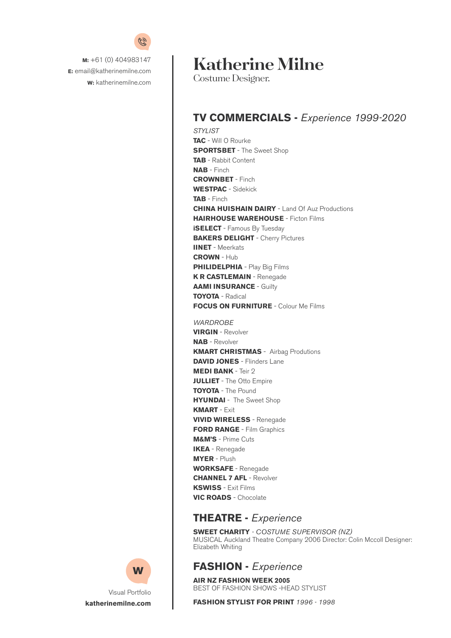

# **Katherine Milne**

Costume Designer.

# **TV COMMERCIALS -** *Experience 1999-2020*

*STYLIST* **TAC** - Will O Rourke **SPORTSBET** - The Sweet Shop **TAB** - Rabbit Content **NAB** - Finch **CROWNBET** - Finch **WESTPAC** - Sidekick **TAB** - Finch **CHINA HUISHAIN DAIRY** - Land Of Auz Productions **HAIRHOUSE WAREHOUSE** - Ficton Films **iSELECT** - Famous By Tuesday **BAKERS DELIGHT** - Cherry Pictures **IINET** - Meerkats **CROWN** - Hub **PHILIDELPHIA** - Play Big Films **K R CASTLEMAIN** - Renegade **AAMI INSURANCE - Guilty TOYOTA** - Radical **FOCUS ON FURNITURE** - Colour Me Films *WARDROBE*  **VIRGIN** - Revolver **NAB** - Revolver **KMART CHRISTMAS** - Airbag Produtions **DAVID JONES** - Flinders Lane **MEDI BANK** - Teir 2 **JULLIET** - The Otto Empire **TOYOTA** - The Pound **HYUNDAI** - The Sweet Shop **KMART** - Exit **VIVID WIRELESS** - Renegade **FORD RANGE** - Film Graphics **M&M'S** - Prime Cuts

**IKEA** - Renegade **MYER** - Plush **WORKSAFE** - Renegade **CHANNEL 7 AFL** - Revolver **KSWISS** - Exit Films **VIC ROADS** - Chocolate

### **THEATRE -** *Experience*

**SWEET CHARITY** *- COSTUME SUPERVISOR (NZ)* MUSICAL Auckland Theatre Company 2006 Director: Colin Mccoll Designer: Elizabeth Whiting

### **FASHION -** *Experience*

**AIR NZ FASHION WEEK 2005** BEST OF FASHION SHOWS -HEAD STYLIST

**FASHION STYLIST FOR PRINT** *1996 - 1998* 



[Visual Portfolio](https://katherinemilne.com) **[katherinemilne.com](https://katherinemilne.com)**